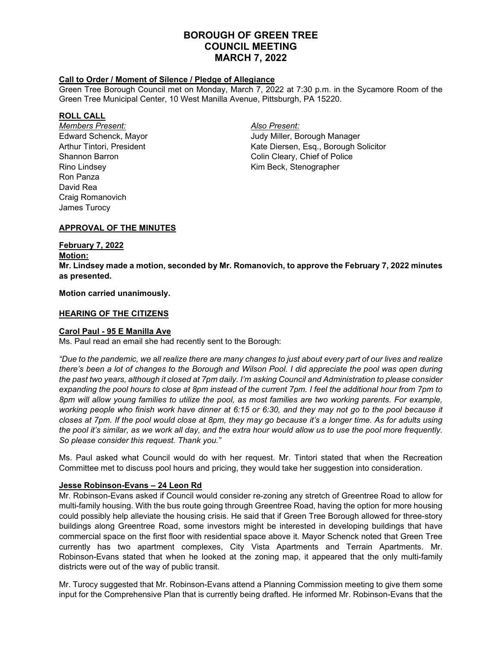# **BOROUGH OF GREEN TREE COUNCIL MEETING MARCH 7, 2022**

### **Call to Order / Moment of Silence / Pledge of Allegiance**

Green Tree Borough Council met on Monday, March 7, 2022 at 7:30 p.m. in the Sycamore Room of the Green Tree Municipal Center, 10 West Manilla Avenue, Pittsburgh, PA 15220.

### **ROLL CALL**

*Members Present: Also Present:* Rino Lindsey **Kim Beck, Stenographer** Ron Panza David Rea Craig Romanovich James Turocy

Edward Schenck, Mayor Judy Miller, Borough Manager Arthur Tintori, President Kate Diersen, Esq., Borough Solicitor Shannon Barron **Colin Cleary**, Chief of Police

# **APPROVAL OF THE MINUTES**

# **February 7, 2022**

**Motion:**

**Mr. Lindsey made a motion, seconded by Mr. Romanovich, to approve the February 7, 2022 minutes as presented.**

### **Motion carried unanimously.**

## **HEARING OF THE CITIZENS**

# **Carol Paul - 95 E Manilla Ave**

Ms. Paul read an email she had recently sent to the Borough:

*"Due to the pandemic, we all realize there are many changes to just about every part of our lives and realize there's been a lot of changes to the Borough and Wilson Pool. I did appreciate the pool was open during the past two years, although it closed at 7pm daily. I'm asking Council and Administration to please consider expanding the pool hours to close at 8pm instead of the current 7pm. I feel the additional hour from 7pm to 8pm will allow young families to utilize the pool, as most families are two working parents. For example, working people who finish work have dinner at 6:15 or 6:30, and they may not go to the pool because it closes at 7pm. If the pool would close at 8pm, they may go because it's a longer time. As for adults using the pool it's similar, as we work all day, and the extra hour would allow us to use the pool more frequently. So please consider this request. Thank you."*

Ms. Paul asked what Council would do with her request. Mr. Tintori stated that when the Recreation Committee met to discuss pool hours and pricing, they would take her suggestion into consideration.

### **Jesse Robinson-Evans – 24 Leon Rd**

Mr. Robinson-Evans asked if Council would consider re-zoning any stretch of Greentree Road to allow for multi-family housing. With the bus route going through Greentree Road, having the option for more housing could possibly help alleviate the housing crisis. He said that if Green Tree Borough allowed for three-story buildings along Greentree Road, some investors might be interested in developing buildings that have commercial space on the first floor with residential space above it. Mayor Schenck noted that Green Tree currently has two apartment complexes, City Vista Apartments and Terrain Apartments. Mr. Robinson-Evans stated that when he looked at the zoning map, it appeared that the only multi-family districts were out of the way of public transit.

Mr. Turocy suggested that Mr. Robinson-Evans attend a Planning Commission meeting to give them some input for the Comprehensive Plan that is currently being drafted. He informed Mr. Robinson-Evans that the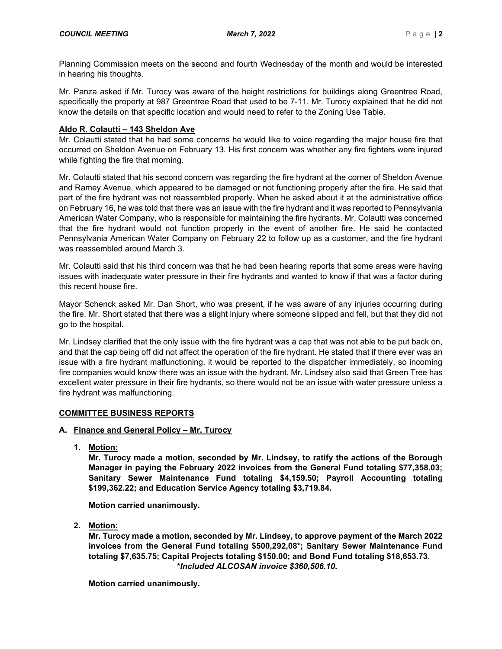Planning Commission meets on the second and fourth Wednesday of the month and would be interested in hearing his thoughts.

Mr. Panza asked if Mr. Turocy was aware of the height restrictions for buildings along Greentree Road, specifically the property at 987 Greentree Road that used to be 7-11. Mr. Turocy explained that he did not know the details on that specific location and would need to refer to the Zoning Use Table.

## **Aldo R. Colautti – 143 Sheldon Ave**

Mr. Colautti stated that he had some concerns he would like to voice regarding the major house fire that occurred on Sheldon Avenue on February 13. His first concern was whether any fire fighters were injured while fighting the fire that morning.

Mr. Colautti stated that his second concern was regarding the fire hydrant at the corner of Sheldon Avenue and Ramey Avenue, which appeared to be damaged or not functioning properly after the fire. He said that part of the fire hydrant was not reassembled properly. When he asked about it at the administrative office on February 16, he was told that there was an issue with the fire hydrant and it was reported to Pennsylvania American Water Company, who is responsible for maintaining the fire hydrants. Mr. Colautti was concerned that the fire hydrant would not function properly in the event of another fire. He said he contacted Pennsylvania American Water Company on February 22 to follow up as a customer, and the fire hydrant was reassembled around March 3.

Mr. Colautti said that his third concern was that he had been hearing reports that some areas were having issues with inadequate water pressure in their fire hydrants and wanted to know if that was a factor during this recent house fire.

Mayor Schenck asked Mr. Dan Short, who was present, if he was aware of any injuries occurring during the fire. Mr. Short stated that there was a slight injury where someone slipped and fell, but that they did not go to the hospital.

Mr. Lindsey clarified that the only issue with the fire hydrant was a cap that was not able to be put back on, and that the cap being off did not affect the operation of the fire hydrant. He stated that if there ever was an issue with a fire hydrant malfunctioning, it would be reported to the dispatcher immediately, so incoming fire companies would know there was an issue with the hydrant. Mr. Lindsey also said that Green Tree has excellent water pressure in their fire hydrants, so there would not be an issue with water pressure unless a fire hydrant was malfunctioning.

### **COMMITTEE BUSINESS REPORTS**

### **A. Finance and General Policy – Mr. Turocy**

**1. Motion:**

**Mr. Turocy made a motion, seconded by Mr. Lindsey, to ratify the actions of the Borough Manager in paying the February 2022 invoices from the General Fund totaling \$77,358.03; Sanitary Sewer Maintenance Fund totaling \$4,159.50; Payroll Accounting totaling \$199,362.22; and Education Service Agency totaling \$3,719.84.**

**Motion carried unanimously.**

**2. Motion:**

**Mr. Turocy made a motion, seconded by Mr. Lindsey, to approve payment of the March 2022 invoices from the General Fund totaling \$500,292,08\*; Sanitary Sewer Maintenance Fund totaling \$7,635.75; Capital Projects totaling \$150.00; and Bond Fund totaling \$18,653.73. \****Included ALCOSAN invoice \$360,506.10.*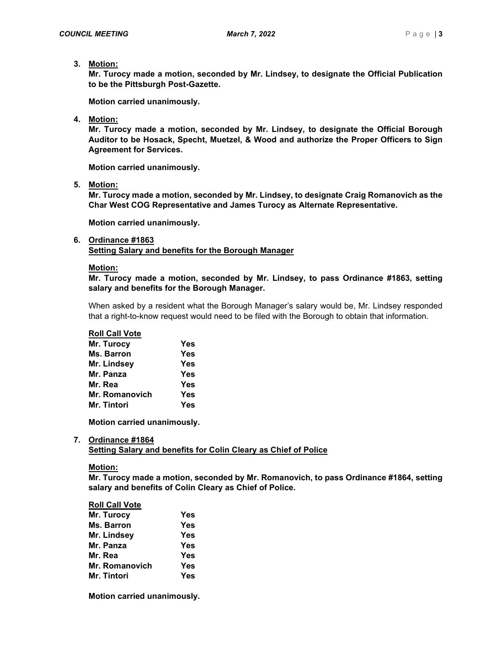**3. Motion:**

**Mr. Turocy made a motion, seconded by Mr. Lindsey, to designate the Official Publication to be the Pittsburgh Post-Gazette.**

**Motion carried unanimously.**

**4. Motion:**

**Mr. Turocy made a motion, seconded by Mr. Lindsey, to designate the Official Borough Auditor to be Hosack, Specht, Muetzel, & Wood and authorize the Proper Officers to Sign Agreement for Services.**

**Motion carried unanimously.**

**5. Motion:**

**Mr. Turocy made a motion, seconded by Mr. Lindsey, to designate Craig Romanovich as the Char West COG Representative and James Turocy as Alternate Representative.**

**Motion carried unanimously.**

### **6. Ordinance #1863 Setting Salary and benefits for the Borough Manager**

# **Motion:**

**Mr. Turocy made a motion, seconded by Mr. Lindsey, to pass Ordinance #1863, setting salary and benefits for the Borough Manager.**

When asked by a resident what the Borough Manager's salary would be, Mr. Lindsey responded that a right-to-know request would need to be filed with the Borough to obtain that information.

# **Roll Call Vote**

| Mr. Turocy         | Yes |
|--------------------|-----|
| Ms. Barron         | Yes |
| Mr. Lindsey        | Yes |
| Mr. Panza          | Yes |
| Mr. Rea            | Yes |
| Mr. Romanovich     | Yes |
| <b>Mr. Tintori</b> | Yes |

**Motion carried unanimously.**

# **7. Ordinance #1864**

**Setting Salary and benefits for Colin Cleary as Chief of Police**

# **Motion:**

**Mr. Turocy made a motion, seconded by Mr. Romanovich, to pass Ordinance #1864, setting salary and benefits of Colin Cleary as Chief of Police.**

### **Roll Call Vote**

| Mr. Turocy     | Yes        |
|----------------|------------|
| Ms. Barron     | <b>Yes</b> |
| Mr. Lindsey    | Yes        |
| Mr. Panza      | <b>Yes</b> |
| Mr. Rea        | <b>Yes</b> |
| Mr. Romanovich | Yes        |
| Mr. Tintori    | Yes        |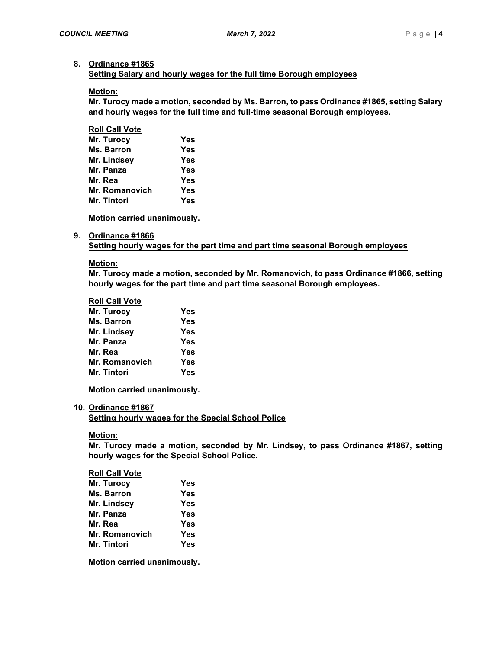### **8. Ordinance #1865**

**Setting Salary and hourly wages for the full time Borough employees**

### **Motion:**

**Mr. Turocy made a motion, seconded by Ms. Barron, to pass Ordinance #1865, setting Salary and hourly wages for the full time and full-time seasonal Borough employees.**

### **Roll Call Vote**

| Mr. Turocy     | Yes        |
|----------------|------------|
| Ms. Barron     | Yes        |
| Mr. Lindsey    | <b>Yes</b> |
| Mr. Panza      | Yes        |
| Mr. Rea        | <b>Yes</b> |
| Mr. Romanovich | Yes        |
| Mr. Tintori    | Yes        |

**Motion carried unanimously.**

### **9. Ordinance #1866**

**Setting hourly wages for the part time and part time seasonal Borough employees**

#### **Motion:**

**Mr. Turocy made a motion, seconded by Mr. Romanovich, to pass Ordinance #1866, setting hourly wages for the part time and part time seasonal Borough employees.**

#### **Roll Call Vote**

| Mr. Turocy        | Yes        |
|-------------------|------------|
| <b>Ms. Barron</b> | Yes        |
| Mr. Lindsey       | <b>Yes</b> |
| Mr. Panza         | Yes        |
| Mr. Rea           | Yes        |
| Mr. Romanovich    | Yes        |
| Mr. Tintori       | Yes        |

**Motion carried unanimously.**

### **10. Ordinance #1867**

**Setting hourly wages for the Special School Police**

### **Motion:**

**Mr. Turocy made a motion, seconded by Mr. Lindsey, to pass Ordinance #1867, setting hourly wages for the Special School Police.**

# **Roll Call Vote Mr. Turocy Yes Ms. Barron Yes Mr. Lindsey Yes Mr. Panza Yes Mr. Rea Yes Mr. Romanovich Yes Mr. Tintori Yes**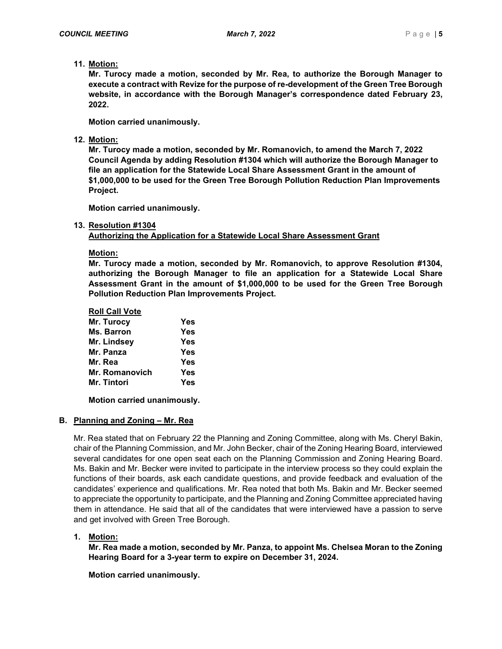# **11. Motion:**

**Mr. Turocy made a motion, seconded by Mr. Rea, to authorize the Borough Manager to execute a contract with Revize for the purpose of re-development of the Green Tree Borough website, in accordance with the Borough Manager's correspondence dated February 23, 2022.**

**Motion carried unanimously.**

# **12. Motion:**

**Mr. Turocy made a motion, seconded by Mr. Romanovich, to amend the March 7, 2022 Council Agenda by adding Resolution #1304 which will authorize the Borough Manager to file an application for the Statewide Local Share Assessment Grant in the amount of \$1,000,000 to be used for the Green Tree Borough Pollution Reduction Plan Improvements Project.** 

**Motion carried unanimously.**

## **13. Resolution #1304**

**Authorizing the Application for a Statewide Local Share Assessment Grant**

**Motion:**

**Mr. Turocy made a motion, seconded by Mr. Romanovich, to approve Resolution #1304, authorizing the Borough Manager to file an application for a Statewide Local Share Assessment Grant in the amount of \$1,000,000 to be used for the Green Tree Borough Pollution Reduction Plan Improvements Project.**

| <b>Roll Call Vote</b> |            |
|-----------------------|------------|
| Mr. Turocy            | Yes        |
| Ms. Barron            | <b>Yes</b> |
| Mr. Lindsey           | Yes        |
| Mr. Panza             | Yes        |
| Mr. Rea               | <b>Yes</b> |
| Mr. Romanovich        | Yes        |
| Mr. Tintori           | <b>Yes</b> |
|                       |            |

**Motion carried unanimously.**

# **B. Planning and Zoning – Mr. Rea**

Mr. Rea stated that on February 22 the Planning and Zoning Committee, along with Ms. Cheryl Bakin, chair of the Planning Commission, and Mr. John Becker, chair of the Zoning Hearing Board, interviewed several candidates for one open seat each on the Planning Commission and Zoning Hearing Board. Ms. Bakin and Mr. Becker were invited to participate in the interview process so they could explain the functions of their boards, ask each candidate questions, and provide feedback and evaluation of the candidates' experience and qualifications. Mr. Rea noted that both Ms. Bakin and Mr. Becker seemed to appreciate the opportunity to participate, and the Planning and Zoning Committee appreciated having them in attendance. He said that all of the candidates that were interviewed have a passion to serve and get involved with Green Tree Borough.

# **1. Motion:**

**Mr. Rea made a motion, seconded by Mr. Panza, to appoint Ms. Chelsea Moran to the Zoning Hearing Board for a 3-year term to expire on December 31, 2024.**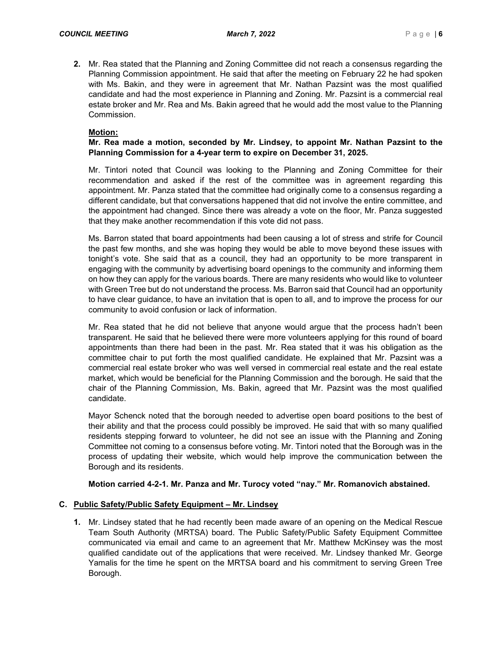**2.** Mr. Rea stated that the Planning and Zoning Committee did not reach a consensus regarding the Planning Commission appointment. He said that after the meeting on February 22 he had spoken with Ms. Bakin, and they were in agreement that Mr. Nathan Pazsint was the most qualified candidate and had the most experience in Planning and Zoning. Mr. Pazsint is a commercial real estate broker and Mr. Rea and Ms. Bakin agreed that he would add the most value to the Planning Commission.

## **Motion:**

# **Mr. Rea made a motion, seconded by Mr. Lindsey, to appoint Mr. Nathan Pazsint to the Planning Commission for a 4-year term to expire on December 31, 2025.**

Mr. Tintori noted that Council was looking to the Planning and Zoning Committee for their recommendation and asked if the rest of the committee was in agreement regarding this appointment. Mr. Panza stated that the committee had originally come to a consensus regarding a different candidate, but that conversations happened that did not involve the entire committee, and the appointment had changed. Since there was already a vote on the floor, Mr. Panza suggested that they make another recommendation if this vote did not pass.

Ms. Barron stated that board appointments had been causing a lot of stress and strife for Council the past few months, and she was hoping they would be able to move beyond these issues with tonight's vote. She said that as a council, they had an opportunity to be more transparent in engaging with the community by advertising board openings to the community and informing them on how they can apply for the various boards. There are many residents who would like to volunteer with Green Tree but do not understand the process. Ms. Barron said that Council had an opportunity to have clear guidance, to have an invitation that is open to all, and to improve the process for our community to avoid confusion or lack of information.

Mr. Rea stated that he did not believe that anyone would argue that the process hadn't been transparent. He said that he believed there were more volunteers applying for this round of board appointments than there had been in the past. Mr. Rea stated that it was his obligation as the committee chair to put forth the most qualified candidate. He explained that Mr. Pazsint was a commercial real estate broker who was well versed in commercial real estate and the real estate market, which would be beneficial for the Planning Commission and the borough. He said that the chair of the Planning Commission, Ms. Bakin, agreed that Mr. Pazsint was the most qualified candidate.

Mayor Schenck noted that the borough needed to advertise open board positions to the best of their ability and that the process could possibly be improved. He said that with so many qualified residents stepping forward to volunteer, he did not see an issue with the Planning and Zoning Committee not coming to a consensus before voting. Mr. Tintori noted that the Borough was in the process of updating their website, which would help improve the communication between the Borough and its residents.

# **Motion carried 4-2-1. Mr. Panza and Mr. Turocy voted "nay." Mr. Romanovich abstained.**

# **C. Public Safety/Public Safety Equipment – Mr. Lindsey**

**1.** Mr. Lindsey stated that he had recently been made aware of an opening on the Medical Rescue Team South Authority (MRTSA) board. The Public Safety/Public Safety Equipment Committee communicated via email and came to an agreement that Mr. Matthew McKinsey was the most qualified candidate out of the applications that were received. Mr. Lindsey thanked Mr. George Yamalis for the time he spent on the MRTSA board and his commitment to serving Green Tree Borough.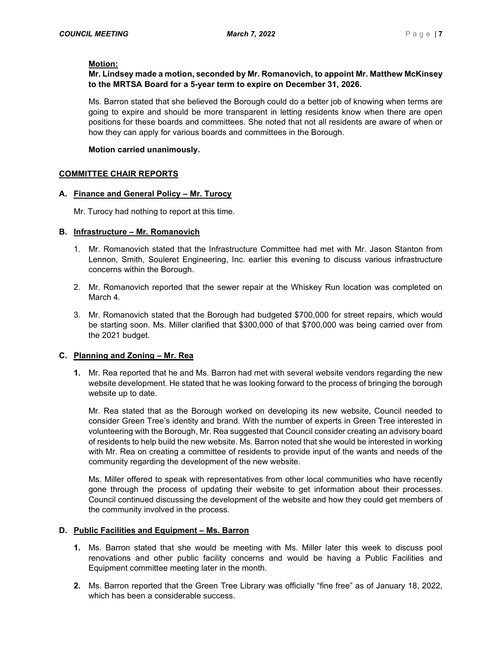# **Motion:**

# **Mr. Lindsey made a motion, seconded by Mr. Romanovich, to appoint Mr. Matthew McKinsey to the MRTSA Board for a 5-year term to expire on December 31, 2026.**

Ms. Barron stated that she believed the Borough could do a better job of knowing when terms are going to expire and should be more transparent in letting residents know when there are open positions for these boards and committees. She noted that not all residents are aware of when or how they can apply for various boards and committees in the Borough.

## **Motion carried unanimously.**

## **COMMITTEE CHAIR REPORTS**

## **A. Finance and General Policy – Mr. Turocy**

Mr. Turocy had nothing to report at this time.

## **B. Infrastructure – Mr. Romanovich**

- 1. Mr. Romanovich stated that the Infrastructure Committee had met with Mr. Jason Stanton from Lennon, Smith, Souleret Engineering, Inc. earlier this evening to discuss various infrastructure concerns within the Borough.
- 2. Mr. Romanovich reported that the sewer repair at the Whiskey Run location was completed on March 4.
- 3. Mr. Romanovich stated that the Borough had budgeted \$700,000 for street repairs, which would be starting soon. Ms. Miller clarified that \$300,000 of that \$700,000 was being carried over from the 2021 budget.

# **C. Planning and Zoning – Mr. Rea**

**1.** Mr. Rea reported that he and Ms. Barron had met with several website vendors regarding the new website development. He stated that he was looking forward to the process of bringing the borough website up to date.

Mr. Rea stated that as the Borough worked on developing its new website, Council needed to consider Green Tree's identity and brand. With the number of experts in Green Tree interested in volunteering with the Borough, Mr. Rea suggested that Council consider creating an advisory board of residents to help build the new website. Ms. Barron noted that she would be interested in working with Mr. Rea on creating a committee of residents to provide input of the wants and needs of the community regarding the development of the new website.

Ms. Miller offered to speak with representatives from other local communities who have recently gone through the process of updating their website to get information about their processes. Council continued discussing the development of the website and how they could get members of the community involved in the process.

# **D. Public Facilities and Equipment – Ms. Barron**

- **1.** Ms. Barron stated that she would be meeting with Ms. Miller later this week to discuss pool renovations and other public facility concerns and would be having a Public Facilities and Equipment committee meeting later in the month.
- **2.** Ms. Barron reported that the Green Tree Library was officially "fine free" as of January 18, 2022, which has been a considerable success.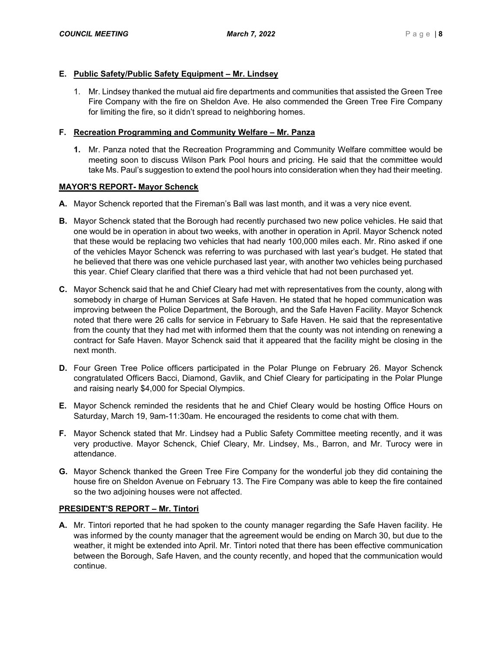## **E. Public Safety/Public Safety Equipment – Mr. Lindsey**

1. Mr. Lindsey thanked the mutual aid fire departments and communities that assisted the Green Tree Fire Company with the fire on Sheldon Ave. He also commended the Green Tree Fire Company for limiting the fire, so it didn't spread to neighboring homes.

## **F. Recreation Programming and Community Welfare – Mr. Panza**

**1.** Mr. Panza noted that the Recreation Programming and Community Welfare committee would be meeting soon to discuss Wilson Park Pool hours and pricing. He said that the committee would take Ms. Paul's suggestion to extend the pool hours into consideration when they had their meeting.

## **MAYOR'S REPORT- Mayor Schenck**

- **A.** Mayor Schenck reported that the Fireman's Ball was last month, and it was a very nice event.
- **B.** Mayor Schenck stated that the Borough had recently purchased two new police vehicles. He said that one would be in operation in about two weeks, with another in operation in April. Mayor Schenck noted that these would be replacing two vehicles that had nearly 100,000 miles each. Mr. Rino asked if one of the vehicles Mayor Schenck was referring to was purchased with last year's budget. He stated that he believed that there was one vehicle purchased last year, with another two vehicles being purchased this year. Chief Cleary clarified that there was a third vehicle that had not been purchased yet.
- **C.** Mayor Schenck said that he and Chief Cleary had met with representatives from the county, along with somebody in charge of Human Services at Safe Haven. He stated that he hoped communication was improving between the Police Department, the Borough, and the Safe Haven Facility. Mayor Schenck noted that there were 26 calls for service in February to Safe Haven. He said that the representative from the county that they had met with informed them that the county was not intending on renewing a contract for Safe Haven. Mayor Schenck said that it appeared that the facility might be closing in the next month.
- **D.** Four Green Tree Police officers participated in the Polar Plunge on February 26. Mayor Schenck congratulated Officers Bacci, Diamond, Gavlik, and Chief Cleary for participating in the Polar Plunge and raising nearly \$4,000 for Special Olympics.
- **E.** Mayor Schenck reminded the residents that he and Chief Cleary would be hosting Office Hours on Saturday, March 19, 9am-11:30am. He encouraged the residents to come chat with them.
- **F.** Mayor Schenck stated that Mr. Lindsey had a Public Safety Committee meeting recently, and it was very productive. Mayor Schenck, Chief Cleary, Mr. Lindsey, Ms., Barron, and Mr. Turocy were in attendance.
- **G.** Mayor Schenck thanked the Green Tree Fire Company for the wonderful job they did containing the house fire on Sheldon Avenue on February 13. The Fire Company was able to keep the fire contained so the two adjoining houses were not affected.

### **PRESIDENT'S REPORT – Mr. Tintori**

**A.** Mr. Tintori reported that he had spoken to the county manager regarding the Safe Haven facility. He was informed by the county manager that the agreement would be ending on March 30, but due to the weather, it might be extended into April. Mr. Tintori noted that there has been effective communication between the Borough, Safe Haven, and the county recently, and hoped that the communication would continue.